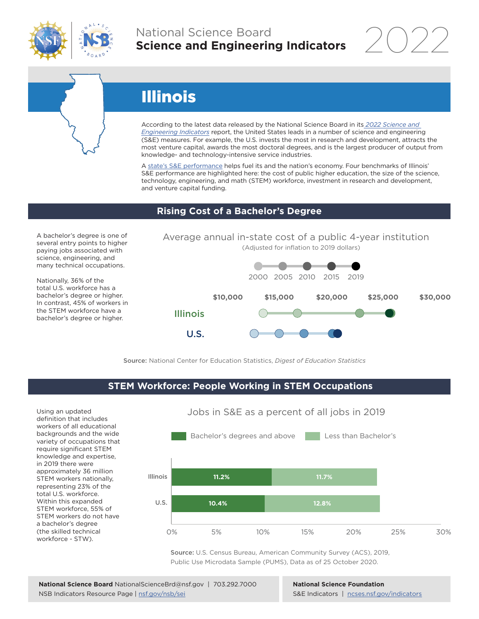

### National Science Board **Science and Engineering Indicators**

# Illinois

According to the latest data released by the National Science Board in its *2022 Science and Engineering Indicators* report, the United States leads in a number of science and engineering (S&E) measures. For example, the U.S. invests the most in research and development, attracts the most venture capital, awards the most doctoral degrees, and is the largest producer of output from knowledge- and technology-intensive service industries.

A state's S&E performance helps fuel its and the nation's economy. Four benchmarks of Illinois' S&E performance are highlighted here: the cost of public higher education, the size of the science, technology, engineering, and math (STEM) workforce, investment in research and development, and venture capital funding.

### **Rising Cost of a Bachelor's Degree**

A bachelor's degree is one of several entry points to higher paying jobs associated with science, engineering, and many technical occupations.

Nationally, 36% of the total U.S. workforce has a bachelor's degree or higher. In contrast, 45% of workers in the STEM workforce have a bachelor's degree or higher.





Source: National Center for Education Statistics, *Digest of Education Statistics*

### **STEM Workforce: People Working in STEM Occupations**

Using an updated definition that includes workers of all educational backgrounds and the wide variety of occupations that require significant STEM knowledge and expertise, in 2019 there were approximately 36 million STEM workers nationally, representing 23% of the total U.S. workforce. Within this expanded STEM workforce, 55% of STEM workers do not have a bachelor's degree (the skilled technical workforce - STW).



Jobs in S&E as a percent of all jobs in 2019

Source: U.S. Census Bureau, American Community Survey (ACS), 2019, Public Use Microdata Sample (PUMS), Data as of 25 October 2020.

**National Science Foundation** S&E Indicators | ncses.nsf.gov/indicators